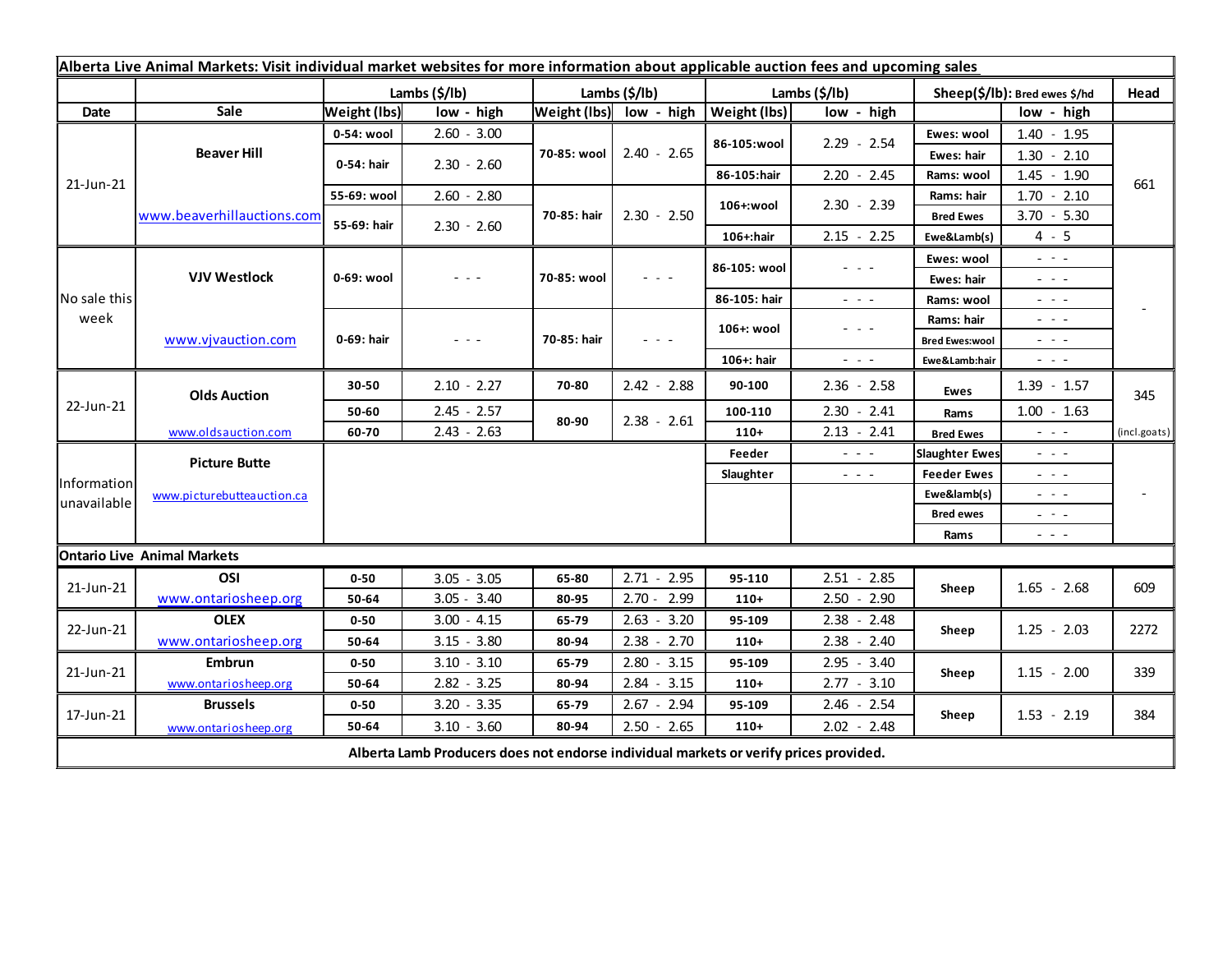| Alberta Live Animal Markets: Visit individual market websites for more information about applicable auction fees and upcoming sales |                                           |                     |               |                         |               |  |               |                                                                                                                           |                               |                                                                                                                                                                                                                                                                                                                                                                                                                                                |              |
|-------------------------------------------------------------------------------------------------------------------------------------|-------------------------------------------|---------------------|---------------|-------------------------|---------------|--|---------------|---------------------------------------------------------------------------------------------------------------------------|-------------------------------|------------------------------------------------------------------------------------------------------------------------------------------------------------------------------------------------------------------------------------------------------------------------------------------------------------------------------------------------------------------------------------------------------------------------------------------------|--------------|
|                                                                                                                                     |                                           |                     | Lambs (\$/lb) | Lambs (\$/lb)           |               |  | Lambs (\$/lb) |                                                                                                                           | Sheep(\$/lb): Bred ewes \$/hd |                                                                                                                                                                                                                                                                                                                                                                                                                                                | Head         |
| Date                                                                                                                                | Sale                                      | <b>Weight (lbs)</b> | low - high    | Weight (lbs) low - high |               |  | Weight (lbs)  | low - high                                                                                                                |                               | low - high                                                                                                                                                                                                                                                                                                                                                                                                                                     |              |
| 21-Jun-21                                                                                                                           | <b>Beaver Hill</b>                        | 0-54: wool          | $2.60 - 3.00$ | 70-85: wool             | $2.40 - 2.65$ |  | 86-105:wool   | $2.29 - 2.54$                                                                                                             | Ewes: wool                    | $1.40 - 1.95$                                                                                                                                                                                                                                                                                                                                                                                                                                  |              |
|                                                                                                                                     |                                           | 0-54: hair          | $2.30 - 2.60$ |                         |               |  |               |                                                                                                                           | <b>Ewes: hair</b>             | $1.30 - 2.10$                                                                                                                                                                                                                                                                                                                                                                                                                                  |              |
|                                                                                                                                     |                                           |                     |               |                         |               |  | 86-105:hair   | $2.20 - 2.45$                                                                                                             | Rams: wool                    | $1.45 - 1.90$                                                                                                                                                                                                                                                                                                                                                                                                                                  | 661          |
|                                                                                                                                     | www.beaverhillauctions.com                | 55-69: wool         | $2.60 - 2.80$ | 70-85: hair             |               |  | 106+:wool     | $2.30 - 2.39$                                                                                                             | Rams: hair                    | $1.70 - 2.10$                                                                                                                                                                                                                                                                                                                                                                                                                                  |              |
|                                                                                                                                     |                                           | 55-69: hair         | $2.30 - 2.60$ |                         | $2.30 - 2.50$ |  |               |                                                                                                                           | <b>Bred Ewes</b>              | $3.70 - 5.30$                                                                                                                                                                                                                                                                                                                                                                                                                                  |              |
|                                                                                                                                     |                                           |                     |               |                         |               |  | 106+:hair     | $2.15 - 2.25$                                                                                                             | Ewe&Lamb(s)                   | $4 - 5$                                                                                                                                                                                                                                                                                                                                                                                                                                        |              |
| No sale this<br>week                                                                                                                | <b>VJV Westlock</b><br>www.vjvauction.com | 0-69: wool          | - - -         | 70-85: wool             |               |  | 86-105: wool  | - - -                                                                                                                     | Ewes: wool                    | $\omega_{\rm{c}}$ , $\omega_{\rm{c}}$                                                                                                                                                                                                                                                                                                                                                                                                          |              |
|                                                                                                                                     |                                           |                     |               |                         | $  -$         |  |               |                                                                                                                           | Ewes: hair                    | $\frac{1}{2} \left( \frac{1}{2} \right) = \frac{1}{2} \left( \frac{1}{2} \right)$                                                                                                                                                                                                                                                                                                                                                              |              |
|                                                                                                                                     |                                           |                     |               |                         |               |  | 86-105: hair  | $\frac{1}{2} \left( \frac{1}{2} \right) \left( \frac{1}{2} \right) \left( \frac{1}{2} \right) \left( \frac{1}{2} \right)$ | Rams: wool                    | $\frac{1}{2} \left( \frac{1}{2} \right) + \frac{1}{2} \left( \frac{1}{2} \right) + \frac{1}{2} \left( \frac{1}{2} \right) + \frac{1}{2} \left( \frac{1}{2} \right) + \frac{1}{2} \left( \frac{1}{2} \right) + \frac{1}{2} \left( \frac{1}{2} \right) + \frac{1}{2} \left( \frac{1}{2} \right) + \frac{1}{2} \left( \frac{1}{2} \right) + \frac{1}{2} \left( \frac{1}{2} \right) + \frac{1}{2} \left( \frac{1}{2} \right) + \frac{1}{2} \left($ |              |
|                                                                                                                                     |                                           | 0-69: hair          | $  -$         | 70-85: hair             |               |  | 106+: wool    | $\frac{1}{2} \left( \frac{1}{2} \right) \left( \frac{1}{2} \right) \left( \frac{1}{2} \right) \left( \frac{1}{2} \right)$ | Rams: hair                    | $\frac{1}{2} \left( \frac{1}{2} \right) \frac{1}{2} \left( \frac{1}{2} \right) \frac{1}{2} \left( \frac{1}{2} \right)$                                                                                                                                                                                                                                                                                                                         |              |
|                                                                                                                                     |                                           |                     |               |                         | - - -         |  |               |                                                                                                                           | <b>Bred Ewes:wool</b>         | $\frac{1}{2} \left( \frac{1}{2} \right) \left( \frac{1}{2} \right) \left( \frac{1}{2} \right) \left( \frac{1}{2} \right)$                                                                                                                                                                                                                                                                                                                      |              |
| 22-Jun-21                                                                                                                           |                                           |                     |               |                         |               |  | 106+: hair    | $\frac{1}{2} \left( \frac{1}{2} \right) \left( \frac{1}{2} \right) \left( \frac{1}{2} \right) \left( \frac{1}{2} \right)$ | Ewe&Lamb:hair                 | $\frac{1}{2} \left( \frac{1}{2} \right) \frac{1}{2} \left( \frac{1}{2} \right) \frac{1}{2} \left( \frac{1}{2} \right)$                                                                                                                                                                                                                                                                                                                         |              |
|                                                                                                                                     | <b>Olds Auction</b>                       | 30-50               | $2.10 - 2.27$ | 70-80                   | $2.42 - 2.88$ |  | 90-100        | $2.36 - 2.58$                                                                                                             | <b>Ewes</b>                   | $1.39 - 1.57$                                                                                                                                                                                                                                                                                                                                                                                                                                  | 345          |
|                                                                                                                                     |                                           | 50-60               | $2.45 - 2.57$ | 80-90                   | $2.38 - 2.61$ |  | 100-110       | $2.30 - 2.41$                                                                                                             | Rams                          | $1.00 - 1.63$                                                                                                                                                                                                                                                                                                                                                                                                                                  |              |
|                                                                                                                                     | www.oldsauction.com                       | 60-70               | $2.43 - 2.63$ |                         |               |  | $110+$        | $2.13 - 2.41$                                                                                                             | <b>Bred Ewes</b>              | $  -$                                                                                                                                                                                                                                                                                                                                                                                                                                          | (incl.goats) |
| Information<br>unavailable                                                                                                          | <b>Picture Butte</b>                      |                     |               |                         |               |  | Feeder        | $\frac{1}{2} \left( \frac{1}{2} \right) \frac{1}{2} \left( \frac{1}{2} \right)$                                           | <b>Slaughter Ewes</b>         | - - -                                                                                                                                                                                                                                                                                                                                                                                                                                          |              |
|                                                                                                                                     | www.picturebutteauction.ca                |                     |               |                         |               |  | Slaughter     | $\frac{1}{2} \left( \frac{1}{2} \right) \left( \frac{1}{2} \right) \left( \frac{1}{2} \right)$                            | <b>Feeder Ewes</b>            | $  -$                                                                                                                                                                                                                                                                                                                                                                                                                                          |              |
|                                                                                                                                     |                                           |                     |               |                         |               |  |               |                                                                                                                           | Ewe&lamb(s)                   | $  -$                                                                                                                                                                                                                                                                                                                                                                                                                                          |              |
|                                                                                                                                     |                                           |                     |               |                         |               |  |               |                                                                                                                           | <b>Bred ewes</b>              | $\frac{1}{2} \left( \frac{1}{2} \right) \frac{1}{2} \left( \frac{1}{2} \right) \frac{1}{2} \left( \frac{1}{2} \right)$                                                                                                                                                                                                                                                                                                                         |              |
|                                                                                                                                     |                                           |                     |               |                         |               |  |               |                                                                                                                           | Rams                          | $\frac{1}{2} \left( \begin{array}{ccc} 1 & 0 & 0 \\ 0 & 0 & 0 \\ 0 & 0 & 0 \end{array} \right) = \frac{1}{2} \left( \begin{array}{ccc} 1 & 0 & 0 \\ 0 & 0 & 0 \\ 0 & 0 & 0 \\ 0 & 0 & 0 \end{array} \right)$                                                                                                                                                                                                                                   |              |
|                                                                                                                                     | <b>Ontario Live Animal Markets</b>        |                     |               |                         |               |  |               |                                                                                                                           |                               |                                                                                                                                                                                                                                                                                                                                                                                                                                                |              |
| 21-Jun-21                                                                                                                           | OSI                                       | $0 - 50$            | $3.05 - 3.05$ | 65-80                   | $2.71 - 2.95$ |  | 95-110        | $2.51 - 2.85$                                                                                                             | Sheep                         | $1.65 - 2.68$                                                                                                                                                                                                                                                                                                                                                                                                                                  | 609          |
|                                                                                                                                     | www.ontariosheep.org                      | 50-64               | $3.05 - 3.40$ | 80-95                   | $2.70 - 2.99$ |  | $110+$        | $2.50 - 2.90$                                                                                                             |                               |                                                                                                                                                                                                                                                                                                                                                                                                                                                |              |
| 22-Jun-21                                                                                                                           | <b>OLEX</b>                               | $0 - 50$            | $3.00 - 4.15$ | 65-79                   | $2.63 - 3.20$ |  | 95-109        | $2.38 - 2.48$                                                                                                             | Sheep                         | $1.25 - 2.03$                                                                                                                                                                                                                                                                                                                                                                                                                                  | 2272         |
|                                                                                                                                     | www.ontariosheep.org                      | 50-64               | $3.15 - 3.80$ | 80-94                   | $2.38 - 2.70$ |  | $110+$        | $2.38 - 2.40$                                                                                                             |                               |                                                                                                                                                                                                                                                                                                                                                                                                                                                |              |
| 21-Jun-21                                                                                                                           | Embrun                                    | $0 - 50$            | $3.10 - 3.10$ | 65-79                   | $2.80 - 3.15$ |  | 95-109        | $2.95 - 3.40$                                                                                                             | Sheep                         | $1.15 - 2.00$                                                                                                                                                                                                                                                                                                                                                                                                                                  | 339          |
| 17-Jun-21                                                                                                                           | www.ontariosheep.org                      | 50-64               | $2.82 - 3.25$ | 80-94                   | $2.84 - 3.15$ |  | $110+$        | $2.77 - 3.10$                                                                                                             |                               |                                                                                                                                                                                                                                                                                                                                                                                                                                                |              |
|                                                                                                                                     | <b>Brussels</b>                           | $0 - 50$            | $3.20 - 3.35$ | 65-79                   | $2.67 - 2.94$ |  | 95-109        | $2.46 - 2.54$                                                                                                             | Sheep                         | $1.53 - 2.19$                                                                                                                                                                                                                                                                                                                                                                                                                                  | 384          |
|                                                                                                                                     | www.ontariosheep.org                      | 50-64               | $3.10 - 3.60$ | 80-94                   | $2.50 - 2.65$ |  | $110+$        | $2.02 - 2.48$                                                                                                             |                               |                                                                                                                                                                                                                                                                                                                                                                                                                                                |              |
| Alberta Lamb Producers does not endorse individual markets or verify prices provided.                                               |                                           |                     |               |                         |               |  |               |                                                                                                                           |                               |                                                                                                                                                                                                                                                                                                                                                                                                                                                |              |